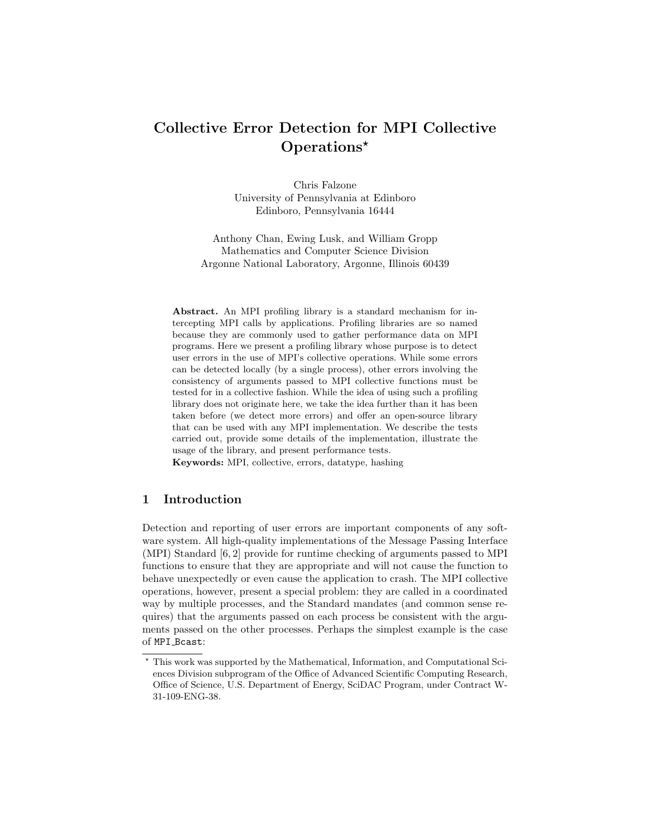# Collective Error Detection for MPI Collective Operations?

Chris Falzone University of Pennsylvania at Edinboro Edinboro, Pennsylvania 16444

Anthony Chan, Ewing Lusk, and William Gropp Mathematics and Computer Science Division Argonne National Laboratory, Argonne, Illinois 60439

Abstract. An MPI profiling library is a standard mechanism for intercepting MPI calls by applications. Profiling libraries are so named because they are commonly used to gather performance data on MPI programs. Here we present a profiling library whose purpose is to detect user errors in the use of MPI's collective operations. While some errors can be detected locally (by a single process), other errors involving the consistency of arguments passed to MPI collective functions must be tested for in a collective fashion. While the idea of using such a profiling library does not originate here, we take the idea further than it has been taken before (we detect more errors) and offer an open-source library that can be used with any MPI implementation. We describe the tests carried out, provide some details of the implementation, illustrate the usage of the library, and present performance tests.

Keywords: MPI, collective, errors, datatype, hashing

# 1 Introduction

Detection and reporting of user errors are important components of any software system. All high-quality implementations of the Message Passing Interface (MPI) Standard [6, 2] provide for runtime checking of arguments passed to MPI functions to ensure that they are appropriate and will not cause the function to behave unexpectedly or even cause the application to crash. The MPI collective operations, however, present a special problem: they are called in a coordinated way by multiple processes, and the Standard mandates (and common sense requires) that the arguments passed on each process be consistent with the arguments passed on the other processes. Perhaps the simplest example is the case of MPI Bcast:

<sup>?</sup> This work was supported by the Mathematical, Information, and Computational Sciences Division subprogram of the Office of Advanced Scientific Computing Research, Office of Science, U.S. Department of Energy, SciDAC Program, under Contract W-31-109-ENG-38.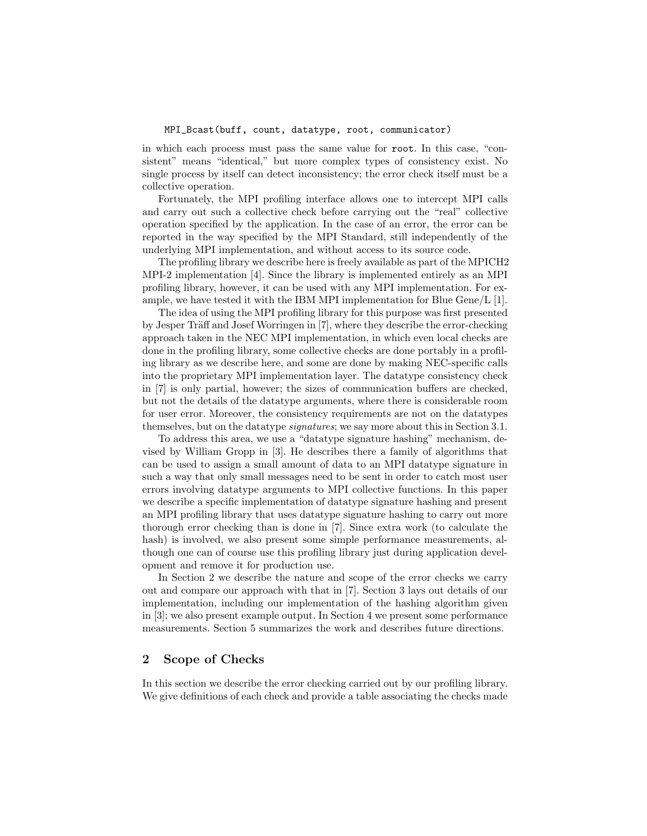#### MPI\_Bcast(buff, count, datatype, root, communicator)

in which each process must pass the same value for root. In this case, "consistent" means "identical," but more complex types of consistency exist. No single process by itself can detect inconsistency; the error check itself must be a collective operation.

Fortunately, the MPI profiling interface allows one to intercept MPI calls and carry out such a collective check before carrying out the "real" collective operation specified by the application. In the case of an error, the error can be reported in the way specified by the MPI Standard, still independently of the underlying MPI implementation, and without access to its source code.

The profiling library we describe here is freely available as part of the MPICH2 MPI-2 implementation [4]. Since the library is implemented entirely as an MPI profiling library, however, it can be used with any MPI implementation. For example, we have tested it with the IBM MPI implementation for Blue Gene/L  $[1]$ .

The idea of using the MPI profiling library for this purpose was first presented by Jesper Träff and Josef Worringen in  $[7]$ , where they describe the error-checking approach taken in the NEC MPI implementation, in which even local checks are done in the profiling library, some collective checks are done portably in a profiling library as we describe here, and some are done by making NEC-specific calls into the proprietary MPI implementation layer. The datatype consistency check in [7] is only partial, however; the sizes of communication buffers are checked, but not the details of the datatype arguments, where there is considerable room for user error. Moreover, the consistency requirements are not on the datatypes themselves, but on the datatype signatures; we say more about this in Section 3.1.

To address this area, we use a "datatype signature hashing" mechanism, devised by William Gropp in [3]. He describes there a family of algorithms that can be used to assign a small amount of data to an MPI datatype signature in such a way that only small messages need to be sent in order to catch most user errors involving datatype arguments to MPI collective functions. In this paper we describe a specific implementation of datatype signature hashing and present an MPI profiling library that uses datatype signature hashing to carry out more thorough error checking than is done in [7]. Since extra work (to calculate the hash) is involved, we also present some simple performance measurements, although one can of course use this profiling library just during application development and remove it for production use.

In Section 2 we describe the nature and scope of the error checks we carry out and compare our approach with that in [7]. Section 3 lays out details of our implementation, including our implementation of the hashing algorithm given in [3]; we also present example output. In Section 4 we present some performance measurements. Section 5 summarizes the work and describes future directions.

# 2 Scope of Checks

In this section we describe the error checking carried out by our profiling library. We give definitions of each check and provide a table associating the checks made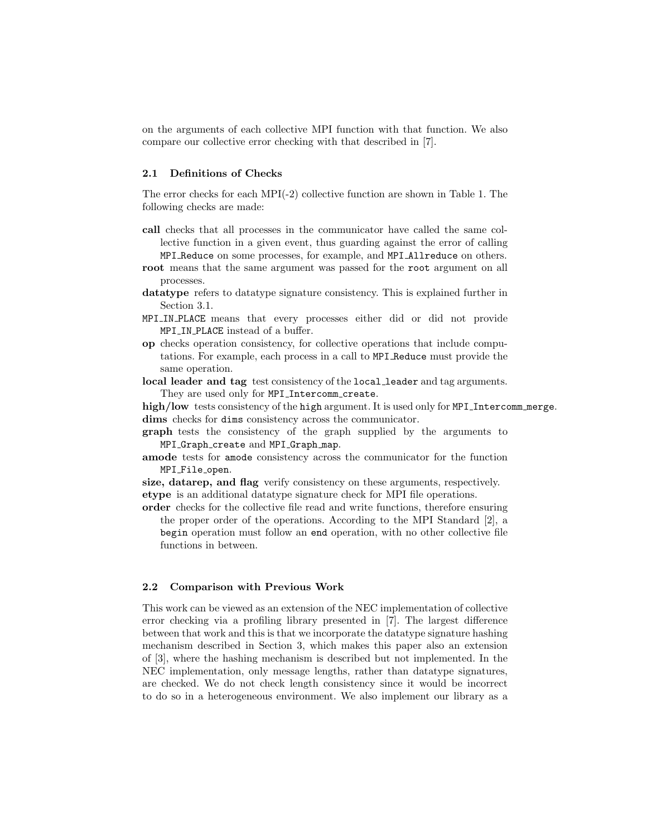on the arguments of each collective MPI function with that function. We also compare our collective error checking with that described in [7].

### 2.1 Definitions of Checks

The error checks for each MPI(-2) collective function are shown in Table 1. The following checks are made:

- call checks that all processes in the communicator have called the same collective function in a given event, thus guarding against the error of calling MPI Reduce on some processes, for example, and MPI Allreduce on others.
- root means that the same argument was passed for the root argument on all processes.
- datatype refers to datatype signature consistency. This is explained further in Section 3.1.
- MPI IN PLACE means that every processes either did or did not provide MPI\_IN\_PLACE instead of a buffer.
- op checks operation consistency, for collective operations that include computations. For example, each process in a call to MPI Reduce must provide the same operation.
- local leader and tag test consistency of the local leader and tag arguments. They are used only for MPI\_Intercomm\_create.

high/low tests consistency of the high argument. It is used only for MPI Intercomm merge. dims checks for dims consistency across the communicator.

- graph tests the consistency of the graph supplied by the arguments to MPI Graph create and MPI Graph map.
- amode tests for amode consistency across the communicator for the function MPI\_File\_open.

size, datarep, and flag verify consistency on these arguments, respectively. etype is an additional datatype signature check for MPI file operations.

order checks for the collective file read and write functions, therefore ensuring the proper order of the operations. According to the MPI Standard [2], a begin operation must follow an end operation, with no other collective file functions in between.

#### 2.2 Comparison with Previous Work

This work can be viewed as an extension of the NEC implementation of collective error checking via a profiling library presented in [7]. The largest difference between that work and this is that we incorporate the datatype signature hashing mechanism described in Section 3, which makes this paper also an extension of [3], where the hashing mechanism is described but not implemented. In the NEC implementation, only message lengths, rather than datatype signatures, are checked. We do not check length consistency since it would be incorrect to do so in a heterogeneous environment. We also implement our library as a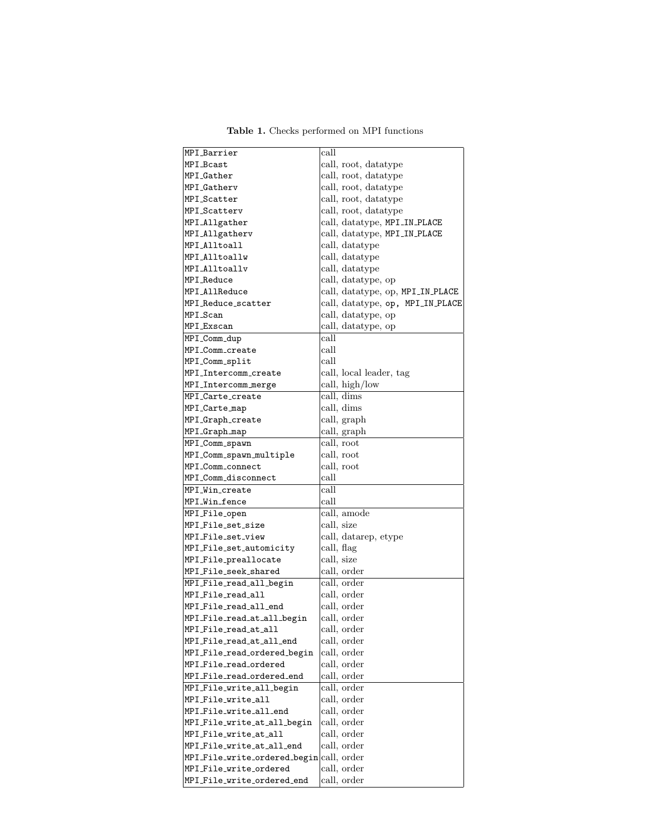| MPI_Barrier                                                                            | call                             |
|----------------------------------------------------------------------------------------|----------------------------------|
| MPI_Bcast                                                                              | call, root, datatype             |
| MPI_Gather                                                                             | call, root, datatype             |
| MPI_Gatherv                                                                            | call, root, datatype             |
| MPI_Scatter                                                                            | call, root, datatype             |
| MPI_Scatterv                                                                           | call, root, datatype             |
| MPI_Allgather                                                                          | call, datatype, MPI_IN_PLACE     |
| MPI_Allgatherv                                                                         | call, datatype, MPI_IN_PLACE     |
| MPI_Alltoall                                                                           | call, datatype                   |
| MPI_Alltoallw                                                                          | call, datatype                   |
| MPI_Alltoallv                                                                          | call, datatype                   |
| MPI_Reduce                                                                             | call, datatype, op               |
| MPI_AllReduce                                                                          | call, datatype, op, MPI_IN_PLACE |
| ${\tt MPI\_Reduce\_scatter}$                                                           | call, datatype, op, MPI_IN_PLACE |
| MPI_Scan                                                                               | call, datatype, op               |
| MPI_Exscan                                                                             | call, datatype, op               |
| MPI_Comm_dup                                                                           | call                             |
| MPI_Comm_create                                                                        | call                             |
| MPI_Comm_split                                                                         | call                             |
| MPI_Intercomm_create                                                                   | call, local leader, tag          |
| MPI_Intercomm_merge                                                                    | call, high/low                   |
| MPI_Carte_create                                                                       | call, dims                       |
| MPI_Carte_map                                                                          | call, dims                       |
| MPI_Graph_create                                                                       | call, graph                      |
| MPI_Graph_map                                                                          | call, graph                      |
| MPI_Comm_spawn                                                                         | call, root                       |
| MPI_Comm_spawn_multiple                                                                | call, root                       |
| MPI_Comm_connect                                                                       | call, root                       |
| MPI_Comm_disconnect                                                                    | call                             |
| MPI_Win_create                                                                         | call                             |
| MPI_Win_fence                                                                          | call                             |
|                                                                                        |                                  |
| MPI_File_open                                                                          | call, amode                      |
| MPI_File_set_size                                                                      | call, size                       |
| MPI_File_set_view                                                                      | call, datarep, etype             |
| MPI_File_set_automicity                                                                | call, flag                       |
| MPI_File_preallocate                                                                   | call, size                       |
| MPI_File_seek_shared                                                                   | call, order                      |
| MPI_File_read_all_begin                                                                | call, order                      |
| MPI_File_read_all                                                                      | call, order                      |
| MPI_File_read_all_end                                                                  | call, order                      |
| MPI_File_read_at_all_begin                                                             | call, order                      |
| MPI_File_read_at_all                                                                   | call, order                      |
| MPI_File_read_at_all_end                                                               | call, order                      |
| MPI_File_read_ordered_begin                                                            | call, order                      |
| MPI_File_read_ordered                                                                  | call, order                      |
| MPI_File_read_ordered_end                                                              | call, order                      |
| MPI_File_write_all_begin                                                               | call, order                      |
| MPI_File_write_all                                                                     | call, order                      |
| MPI_File_write_all_end                                                                 | call, order                      |
| MPI_File_write_at_all_begin                                                            | call, order                      |
| MPI_File_write_at_all                                                                  | call, order                      |
| MPI_File_write_at_all_end                                                              | call, order                      |
| <code>MPI_File_write_ordered_begin<math> \mathrm{call},\, \mathrm{order}</math></code> |                                  |
| MPI_File_write_ordered                                                                 | call, order                      |
| MPI_File_write_ordered_end                                                             | call, order                      |
|                                                                                        |                                  |

Table 1. Checks performed on MPI functions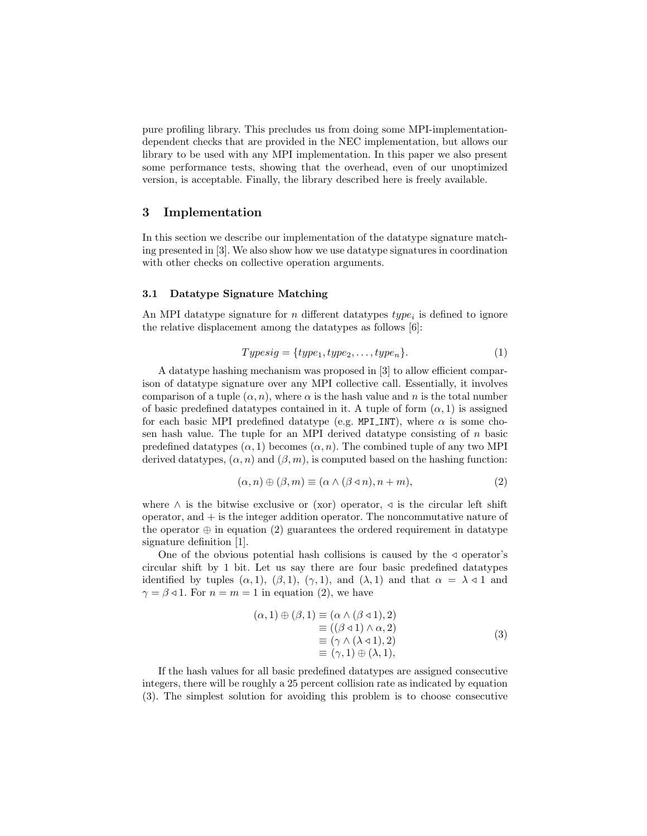pure profiling library. This precludes us from doing some MPI-implementationdependent checks that are provided in the NEC implementation, but allows our library to be used with any MPI implementation. In this paper we also present some performance tests, showing that the overhead, even of our unoptimized version, is acceptable. Finally, the library described here is freely available.

## 3 Implementation

In this section we describe our implementation of the datatype signature matching presented in [3]. We also show how we use datatype signatures in coordination with other checks on collective operation arguments.

#### 3.1 Datatype Signature Matching

An MPI datatype signature for n different datatypes  $type_i$  is defined to ignore the relative displacement among the datatypes as follows [6]:

$$
Typesig = \{type_1, type_2, \dots, type_n\}.
$$
\n<sup>(1)</sup>

A datatype hashing mechanism was proposed in [3] to allow efficient comparison of datatype signature over any MPI collective call. Essentially, it involves comparison of a tuple  $(\alpha, n)$ , where  $\alpha$  is the hash value and n is the total number of basic predefined datatypes contained in it. A tuple of form  $(\alpha, 1)$  is assigned for each basic MPI predefined datatype (e.g. MPI\_INT), where  $\alpha$  is some chosen hash value. The tuple for an MPI derived datatype consisting of  $n$  basic predefined datatypes  $(\alpha, 1)$  becomes  $(\alpha, n)$ . The combined tuple of any two MPI derived datatypes,  $(\alpha, n)$  and  $(\beta, m)$ , is computed based on the hashing function:

$$
(\alpha, n) \oplus (\beta, m) \equiv (\alpha \wedge (\beta \triangleleft n), n + m), \tag{2}
$$

where  $\wedge$  is the bitwise exclusive or (xor) operator,  $\triangleleft$  is the circular left shift operator, and  $+$  is the integer addition operator. The noncommutative nature of the operator  $\oplus$  in equation (2) guarantees the ordered requirement in datatype signature definition [1].

One of the obvious potential hash collisions is caused by the  $\triangleleft$  operator's circular shift by 1 bit. Let us say there are four basic predefined datatypes identified by tuples  $(\alpha, 1)$ ,  $(\beta, 1)$ ,  $(\gamma, 1)$ , and  $(\lambda, 1)$  and that  $\alpha = \lambda \triangleleft 1$  and  $\gamma = \beta \triangleleft 1$ . For  $n = m = 1$  in equation (2), we have

$$
(\alpha, 1) \oplus (\beta, 1) \equiv (\alpha \wedge (\beta \triangleleft 1), 2)
$$
  
\n
$$
\equiv ((\beta \triangleleft 1) \wedge \alpha, 2)
$$
  
\n
$$
\equiv (\gamma \wedge (\lambda \triangleleft 1), 2)
$$
  
\n
$$
\equiv (\gamma, 1) \oplus (\lambda, 1),
$$
\n(3)

If the hash values for all basic predefined datatypes are assigned consecutive integers, there will be roughly a 25 percent collision rate as indicated by equation (3). The simplest solution for avoiding this problem is to choose consecutive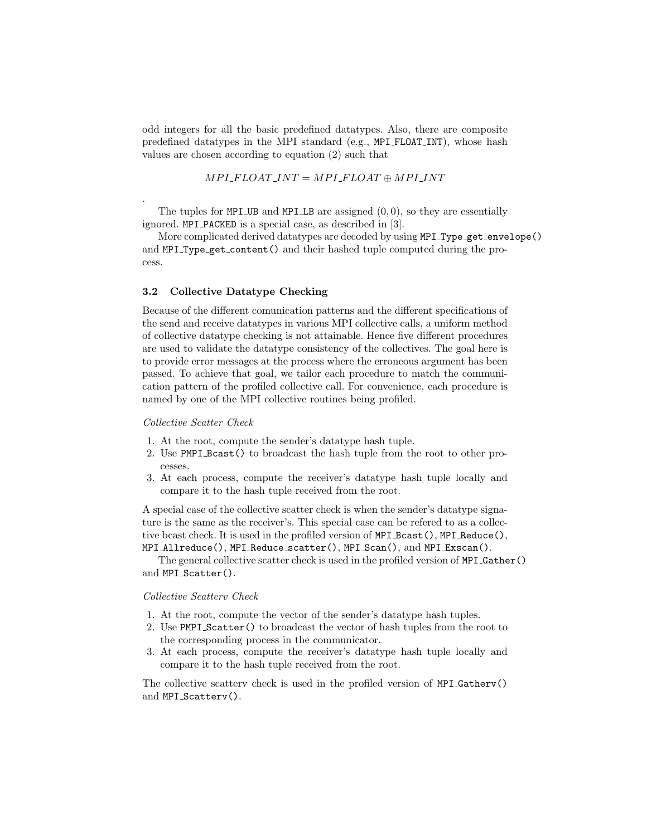odd integers for all the basic predefined datatypes. Also, there are composite predefined datatypes in the MPI standard (e.g.,  $MPI$ **FLOAT** $INT$ ), whose hash values are chosen according to equation (2) such that

 $MPI\_FLOAT\_INT = MPI\_FLOAT \oplus MPI\_INT$ 

The tuples for MPI UB and MPI LB are assigned  $(0, 0)$ , so they are essentially ignored. MPI PACKED is a special case, as described in [3].

More complicated derived datatypes are decoded by using MPI\_Type\_get\_envelope() and MPI Type get content() and their hashed tuple computed during the process.

#### 3.2 Collective Datatype Checking

Because of the different comunication patterns and the different specifications of the send and receive datatypes in various MPI collective calls, a uniform method of collective datatype checking is not attainable. Hence five different procedures are used to validate the datatype consistency of the collectives. The goal here is to provide error messages at the process where the erroneous argument has been passed. To achieve that goal, we tailor each procedure to match the communication pattern of the profiled collective call. For convenience, each procedure is named by one of the MPI collective routines being profiled.

#### Collective Scatter Check

.

- 1. At the root, compute the sender's datatype hash tuple.
- 2. Use PMPI Bcast() to broadcast the hash tuple from the root to other processes.
- 3. At each process, compute the receiver's datatype hash tuple locally and compare it to the hash tuple received from the root.

A special case of the collective scatter check is when the sender's datatype signature is the same as the receiver's. This special case can be refered to as a collective bcast check. It is used in the profiled version of MPI\_Bcast(), MPI\_Reduce(), MPI Allreduce(), MPI Reduce scatter(), MPI Scan(), and MPI Exscan().

The general collective scatter check is used in the profiled version of MPI Gather() and MPI\_Scatter().

#### Collective Scatterv Check

- 1. At the root, compute the vector of the sender's datatype hash tuples.
- 2. Use PMPI Scatter() to broadcast the vector of hash tuples from the root to the corresponding process in the communicator.
- 3. At each process, compute the receiver's datatype hash tuple locally and compare it to the hash tuple received from the root.

The collective scatterv check is used in the profiled version of MPI Gatherv() and MPI Scatterv().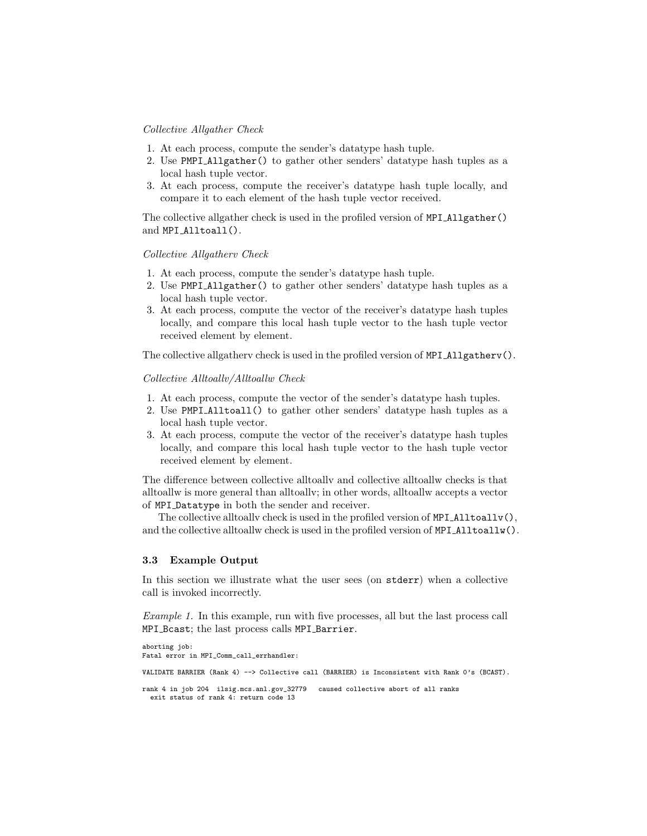#### Collective Allgather Check

- 1. At each process, compute the sender's datatype hash tuple.
- 2. Use PMPI Allgather() to gather other senders' datatype hash tuples as a local hash tuple vector.
- 3. At each process, compute the receiver's datatype hash tuple locally, and compare it to each element of the hash tuple vector received.

The collective allgather check is used in the profiled version of MPI Allgather() and MPI Alltoall().

Collective Allgatherv Check

- 1. At each process, compute the sender's datatype hash tuple.
- 2. Use PMPI Allgather() to gather other senders' datatype hash tuples as a local hash tuple vector.
- 3. At each process, compute the vector of the receiver's datatype hash tuples locally, and compare this local hash tuple vector to the hash tuple vector received element by element.

The collective allgatherv check is used in the profiled version of MPI Allgatherv().

#### Collective Alltoallv/Alltoallw Check

- 1. At each process, compute the vector of the sender's datatype hash tuples.
- 2. Use PMPI Alltoall() to gather other senders' datatype hash tuples as a local hash tuple vector.
- 3. At each process, compute the vector of the receiver's datatype hash tuples locally, and compare this local hash tuple vector to the hash tuple vector received element by element.

The difference between collective alltoallv and collective alltoallw checks is that alltoallw is more general than alltoallv; in other words, alltoallw accepts a vector of MPI Datatype in both the sender and receiver.

The collective alltoally check is used in the profiled version of MPI\_Alltoally(), and the collective alltoallw check is used in the profiled version of MPI\_Alltoallw().

#### 3.3 Example Output

In this section we illustrate what the user sees (on stderr) when a collective call is invoked incorrectly.

Example 1. In this example, run with five processes, all but the last process call MPI Bcast; the last process calls MPI Barrier.

```
aborting job:
Fatal error in MPI_Comm_call_errhandler:
VALIDATE BARRIER (Rank 4) --> Collective call (BARRIER) is Inconsistent with Rank 0's (BCAST).
rank 4 in job 204 ilsig.mcs.anl.gov_32779 caused collective abort of all ranks
 exit status of rank 4: return code 13
```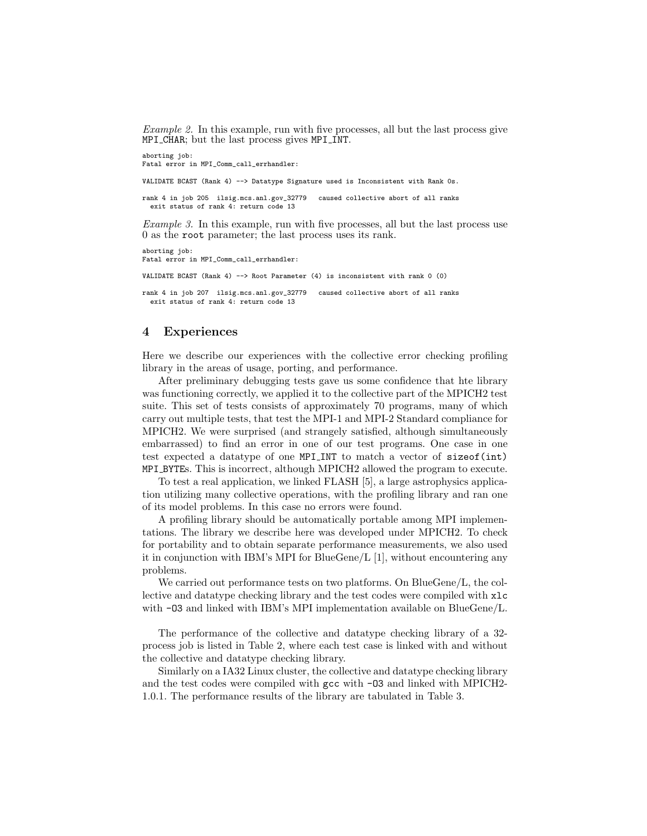Example 2. In this example, run with five processes, all but the last process give MPI CHAR; but the last process gives MPI INT.

aborting job: Fatal error in MPI\_Comm\_call\_errhandler:

VALIDATE BCAST (Rank 4) --> Datatype Signature used is Inconsistent with Rank 0s.

rank 4 in job 205 ilsig.mcs.anl.gov\_32779 caused collective abort of all ranks exit status of rank 4: return code 13

Example 3. In this example, run with five processes, all but the last process use 0 as the root parameter; the last process uses its rank.

aborting job: Fatal error in MPI\_Comm\_call\_errhandler:

VALIDATE BCAST (Rank 4) --> Root Parameter (4) is inconsistent with rank 0 (0)

rank 4 in job 207 ilsig.mcs.anl.gov\_32779 caused collective abort of all ranks exit status of rank 4: return code 13

### 4 Experiences

Here we describe our experiences with the collective error checking profiling library in the areas of usage, porting, and performance.

After preliminary debugging tests gave us some confidence that hte library was functioning correctly, we applied it to the collective part of the MPICH2 test suite. This set of tests consists of approximately 70 programs, many of which carry out multiple tests, that test the MPI-1 and MPI-2 Standard compliance for MPICH2. We were surprised (and strangely satisfied, although simultaneously embarrassed) to find an error in one of our test programs. One case in one test expected a datatype of one MPI INT to match a vector of sizeof(int) MPI BYTEs. This is incorrect, although MPICH2 allowed the program to execute.

To test a real application, we linked FLASH [5], a large astrophysics application utilizing many collective operations, with the profiling library and ran one of its model problems. In this case no errors were found.

A profiling library should be automatically portable among MPI implementations. The library we describe here was developed under MPICH2. To check for portability and to obtain separate performance measurements, we also used it in conjunction with IBM's MPI for BlueGene/L [1], without encountering any problems.

We carried out performance tests on two platforms. On BlueGene/L, the collective and datatype checking library and the test codes were compiled with xlc with  $-03$  and linked with IBM's MPI implementation available on BlueGene/L.

The performance of the collective and datatype checking library of a 32 process job is listed in Table 2, where each test case is linked with and without the collective and datatype checking library.

Similarly on a IA32 Linux cluster, the collective and datatype checking library and the test codes were compiled with gcc with -O3 and linked with MPICH2- 1.0.1. The performance results of the library are tabulated in Table 3.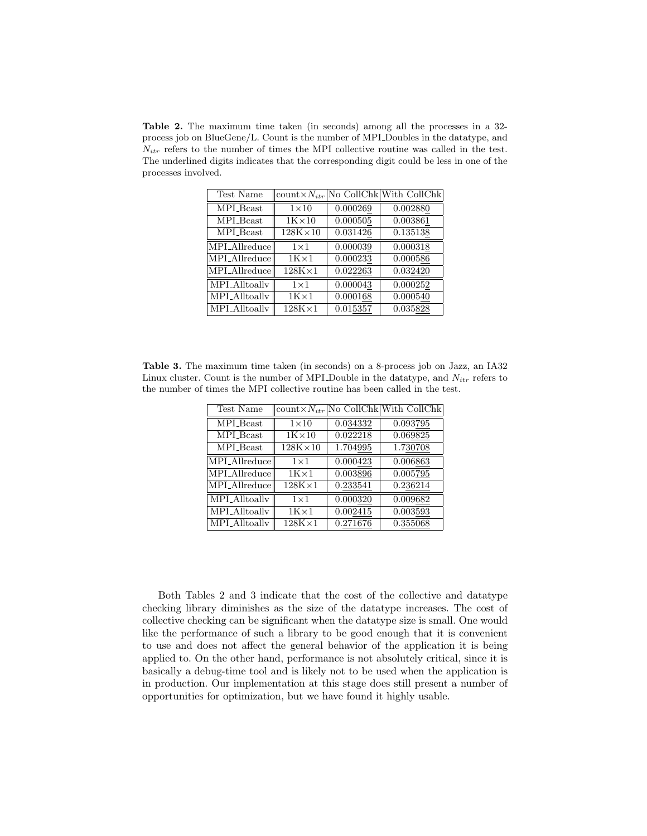Table 2. The maximum time taken (in seconds) among all the processes in a 32 process job on BlueGene/L. Count is the number of MPI Doubles in the datatype, and  $N_{itr}$  refers to the number of times the MPI collective routine was called in the test. The underlined digits indicates that the corresponding digit could be less in one of the processes involved.

| Test Name            | $\vert \text{count} \times N_{itr} \vert$ |          | No CollChk With CollChk |
|----------------------|-------------------------------------------|----------|-------------------------|
| MPI_Bcast            | $1\times10$                               | 0.000269 | 0.002880                |
| MPI_Bcast            | $1K \times 10$                            | 0.000505 | 0.003861                |
| MPI_Bcast            | $128K \times 10$                          | 0.031426 | 0.135138                |
| <b>MPI_Allreduce</b> | $1\times1$                                | 0.000039 | 0.000318                |
| MPI_Allreduce        | $1K \times 1$                             | 0.000233 | 0.000586                |
| MPI_Allreduce        | $128K \times 1$                           | 0.022263 | 0.032420                |
| MPLAlltoally         | $1\times1$                                | 0.000043 | 0.000252                |
| MPI_Alltoallv        | $1K \times 1$                             | 0.000168 | 0.000540                |
| MPI_Alltoally        | $128K \times 1$                           | 0.015357 | 0.035828                |

Table 3. The maximum time taken (in seconds) on a 8-process job on Jazz, an IA32 Linux cluster. Count is the number of MPI Double in the datatype, and  $N_{itr}$  refers to the number of times the MPI collective routine has been called in the test.

| Test Name           | $\text{count} \times N_{itr}$ |          | No CollChk With CollChk |
|---------------------|-------------------------------|----------|-------------------------|
| MPI_Bcast           | $1\times10$                   | 0.034332 | 0.093795                |
| MPI_Bcast           | $1K \times 10$                | 0.022218 | 0.069825                |
| MPI_Bcast           | $128K \times 10$              | 1.704995 | 1.730708                |
| MPI_Allreduce       | $1 \times 1$                  | 0.000423 | 0.006863                |
| MPI_Allreduce       | $1K \times 1$                 | 0.003896 | 0.005795                |
| MPI_Allreduce       | $128K \times 1$               | 0.233541 | 0.236214                |
| MPI_Alltoally       | $1\times1$                    | 0.000320 | 0.009682                |
| <b>MPLAlltoally</b> | $1K \times 1$                 | 0.002415 | 0.003593                |
| MPI_Alltoally       | $128K \times 1$               | 0.271676 | 0.355068                |

Both Tables 2 and 3 indicate that the cost of the collective and datatype checking library diminishes as the size of the datatype increases. The cost of collective checking can be significant when the datatype size is small. One would like the performance of such a library to be good enough that it is convenient to use and does not affect the general behavior of the application it is being applied to. On the other hand, performance is not absolutely critical, since it is basically a debug-time tool and is likely not to be used when the application is in production. Our implementation at this stage does still present a number of opportunities for optimization, but we have found it highly usable.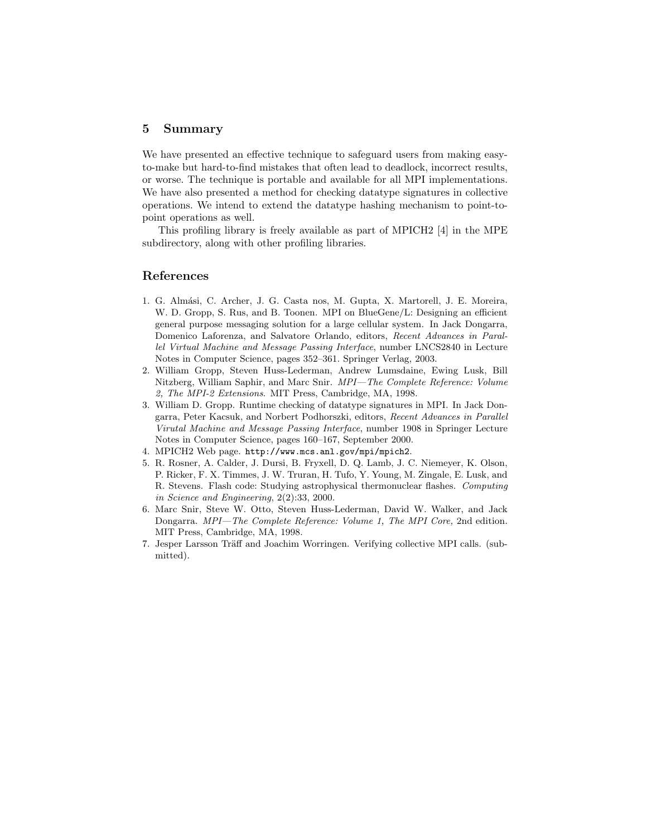# 5 Summary

We have presented an effective technique to safeguard users from making easyto-make but hard-to-find mistakes that often lead to deadlock, incorrect results, or worse. The technique is portable and available for all MPI implementations. We have also presented a method for checking datatype signatures in collective operations. We intend to extend the datatype hashing mechanism to point-topoint operations as well.

This profiling library is freely available as part of MPICH2 [4] in the MPE subdirectory, along with other profiling libraries.

# References

- 1. G. Alm´asi, C. Archer, J. G. Casta nos, M. Gupta, X. Martorell, J. E. Moreira, W. D. Gropp, S. Rus, and B. Toonen. MPI on BlueGene/L: Designing an efficient general purpose messaging solution for a large cellular system. In Jack Dongarra, Domenico Laforenza, and Salvatore Orlando, editors, Recent Advances in Parallel Virtual Machine and Message Passing Interface, number LNCS2840 in Lecture Notes in Computer Science, pages 352–361. Springer Verlag, 2003.
- 2. William Gropp, Steven Huss-Lederman, Andrew Lumsdaine, Ewing Lusk, Bill Nitzberg, William Saphir, and Marc Snir. MPI—The Complete Reference: Volume 2, The MPI-2 Extensions. MIT Press, Cambridge, MA, 1998.
- 3. William D. Gropp. Runtime checking of datatype signatures in MPI. In Jack Dongarra, Peter Kacsuk, and Norbert Podhorszki, editors, Recent Advances in Parallel Virutal Machine and Message Passing Interface, number 1908 in Springer Lecture Notes in Computer Science, pages 160–167, September 2000.
- 4. MPICH2 Web page. http://www.mcs.anl.gov/mpi/mpich2.
- 5. R. Rosner, A. Calder, J. Dursi, B. Fryxell, D. Q. Lamb, J. C. Niemeyer, K. Olson, P. Ricker, F. X. Timmes, J. W. Truran, H. Tufo, Y. Young, M. Zingale, E. Lusk, and R. Stevens. Flash code: Studying astrophysical thermonuclear flashes. Computing in Science and Engineering, 2(2):33, 2000.
- 6. Marc Snir, Steve W. Otto, Steven Huss-Lederman, David W. Walker, and Jack Dongarra. MPI—The Complete Reference: Volume 1, The MPI Core, 2nd edition. MIT Press, Cambridge, MA, 1998.
- 7. Jesper Larsson Träff and Joachim Worringen. Verifying collective MPI calls. (submitted).